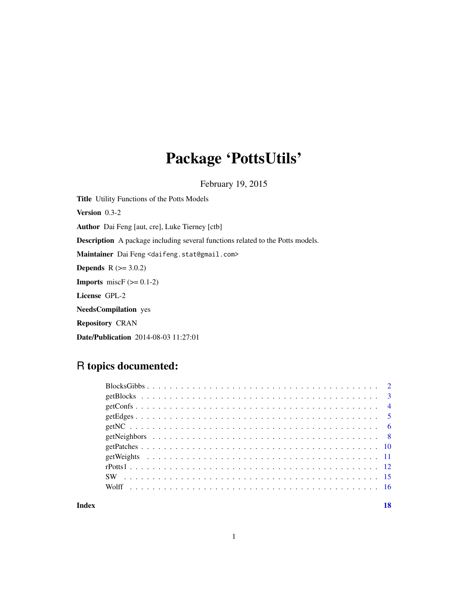# Package 'PottsUtils'

February 19, 2015

Title Utility Functions of the Potts Models Version 0.3-2 Author Dai Feng [aut, cre], Luke Tierney [ctb] Description A package including several functions related to the Potts models. Maintainer Dai Feng <daifeng.stat@gmail.com> **Depends** R  $(>= 3.0.2)$ **Imports** miscF  $(>= 0.1-2)$ License GPL-2 NeedsCompilation yes Repository CRAN Date/Publication 2014-08-03 11:27:01

## R topics documented:

| Index |  |  |  |  |  |  |  |  |  |  |  |  |  |  |  |  |  | 18 |
|-------|--|--|--|--|--|--|--|--|--|--|--|--|--|--|--|--|--|----|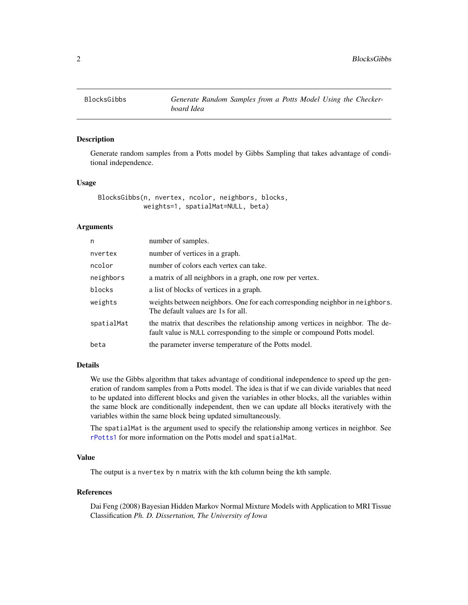<span id="page-1-1"></span><span id="page-1-0"></span>

#### Description

Generate random samples from a Potts model by Gibbs Sampling that takes advantage of conditional independence.

#### Usage

```
BlocksGibbs(n, nvertex, ncolor, neighbors, blocks,
            weights=1, spatialMat=NULL, beta)
```
#### Arguments

| n          | number of samples.                                                                                                                                         |
|------------|------------------------------------------------------------------------------------------------------------------------------------------------------------|
| nvertex    | number of vertices in a graph.                                                                                                                             |
| ncolor     | number of colors each vertex can take.                                                                                                                     |
| neighbors  | a matrix of all neighbors in a graph, one row per vertex.                                                                                                  |
| blocks     | a list of blocks of vertices in a graph.                                                                                                                   |
| weights    | weights between neighbors. One for each corresponding neighbor in neighbors.<br>The default values are 1s for all.                                         |
| spatialMat | the matrix that describes the relationship among vertices in neighbor. The de-<br>fault value is NULL corresponding to the simple or compound Potts model. |
| beta       | the parameter inverse temperature of the Potts model.                                                                                                      |
|            |                                                                                                                                                            |

#### Details

We use the Gibbs algorithm that takes advantage of conditional independence to speed up the generation of random samples from a Potts model. The idea is that if we can divide variables that need to be updated into different blocks and given the variables in other blocks, all the variables within the same block are conditionally independent, then we can update all blocks iteratively with the variables within the same block being updated simultaneously.

The spatialMat is the argument used to specify the relationship among vertices in neighbor. See [rPotts1](#page-11-1) for more information on the Potts model and spatialMat.

#### Value

The output is a nvertex by n matrix with the kth column being the kth sample.

#### References

Dai Feng (2008) Bayesian Hidden Markov Normal Mixture Models with Application to MRI Tissue Classification *Ph. D. Dissertation, The University of Iowa*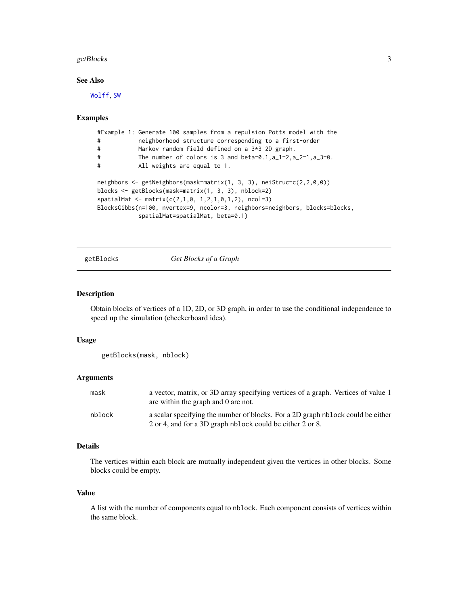#### <span id="page-2-0"></span>getBlocks 3

#### See Also

[Wolff](#page-15-1), [SW](#page-14-1)

#### Examples

```
#Example 1: Generate 100 samples from a repulsion Potts model with the
# neighborhood structure corresponding to a first-order
# Markov random field defined on a 3*3 2D graph.
# The number of colors is 3 and beta=0.1,a_1=2,a_2=1,a_3=0.
# All weights are equal to 1.
neighbors <- getNeighbors(mask=matrix(1, 3, 3), neiStruc=c(2,2,0,0))
blocks <- getBlocks(mask=matrix(1, 3, 3), nblock=2)
spatialMat < - matrix(c(2,1,0, 1,2,1,0,1,2), ncol=3)BlocksGibbs(n=100, nvertex=9, ncolor=3, neighbors=neighbors, blocks=blocks,
           spatialMat=spatialMat, beta=0.1)
```
getBlocks *Get Blocks of a Graph*

#### Description

Obtain blocks of vertices of a 1D, 2D, or 3D graph, in order to use the conditional independence to speed up the simulation (checkerboard idea).

#### Usage

```
getBlocks(mask, nblock)
```
#### Arguments

| mask   | a vector, matrix, or 3D array specifying vertices of a graph. Vertices of value 1<br>are within the graph and 0 are not.                     |
|--------|----------------------------------------------------------------------------------------------------------------------------------------------|
| nblock | a scalar specifying the number of blocks. For a 2D graph nblock could be either<br>2 or 4, and for a 3D graph nblock could be either 2 or 8. |

#### Details

The vertices within each block are mutually independent given the vertices in other blocks. Some blocks could be empty.

#### Value

A list with the number of components equal to nblock. Each component consists of vertices within the same block.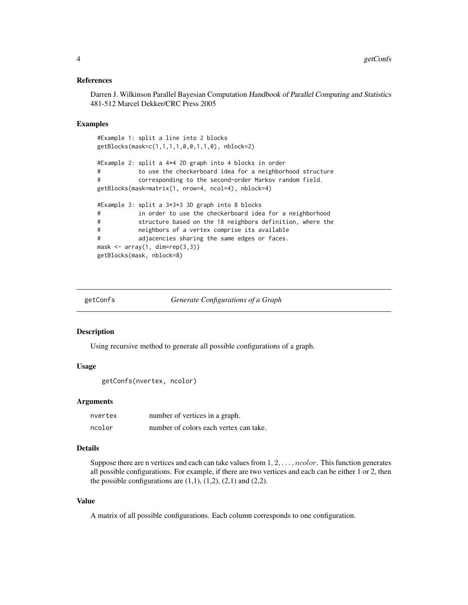#### <span id="page-3-0"></span>References

Darren J. Wilkinson Parallel Bayesian Computation Handbook of Parallel Computing and Statistics 481-512 Marcel Dekker/CRC Press 2005

#### Examples

```
#Example 1: split a line into 2 blocks
getBlocks(mask=c(1,1,1,1,0,0,1,1,0), nblock=2)
#Example 2: split a 4*4 2D graph into 4 blocks in order
# to use the checkerboard idea for a neighborhood structure
# corresponding to the second-order Markov random field.
getBlocks(mask=matrix(1, nrow=4, ncol=4), nblock=4)
#Example 3: split a 3*3*3 3D graph into 8 blocks
# in order to use the checkerboard idea for a neighborhood
# structure based on the 18 neighbors definition, where the
# neighbors of a vertex comprise its available
# adjacencies sharing the same edges or faces.
mask <- array(1, dim=rep(3,3))
getBlocks(mask, nblock=8)
```

```
getConfs Generate Configurations of a Graph
```
#### Description

Using recursive method to generate all possible configurations of a graph.

#### Usage

```
getConfs(nvertex, ncolor)
```
#### Arguments

| nvertex | number of vertices in a graph.         |
|---------|----------------------------------------|
| ncolor  | number of colors each vertex can take. |

#### Details

Suppose there are n vertices and each can take values from  $1, 2, \ldots$ , ncolor. This function generates all possible configurations. For example, if there are two vertices and each can be either 1 or 2, then the possible configurations are  $(1,1)$ ,  $(1,2)$ ,  $(2,1)$  and  $(2,2)$ .

#### Value

A matrix of all possible configurations. Each column corresponds to one configuration.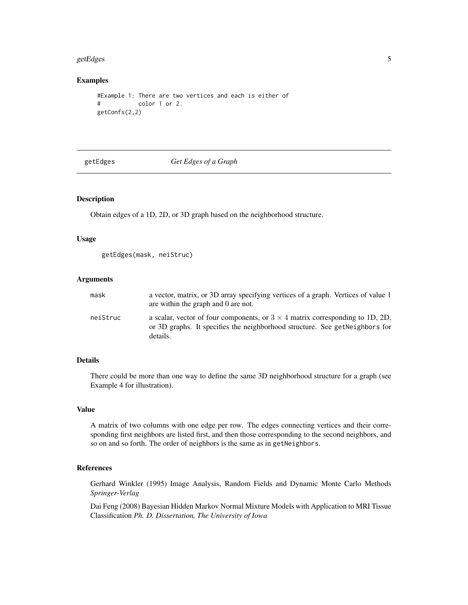#### <span id="page-4-0"></span>getEdges 5

#### Examples

```
#Example 1: There are two vertices and each is either of
# color 1 or 2.
getConfs(2,2)
```
getEdges *Get Edges of a Graph*

#### Description

Obtain edges of a 1D, 2D, or 3D graph based on the neighborhood structure.

#### Usage

```
getEdges(mask, neiStruc)
```
#### Arguments

| mask     | a vector, matrix, or 3D array specifying vertices of a graph. Vertices of value 1<br>are within the graph and 0 are not.                                                         |
|----------|----------------------------------------------------------------------------------------------------------------------------------------------------------------------------------|
| neiStruc | a scalar, vector of four components, or $3 \times 4$ matrix corresponding to 1D, 2D,<br>or 3D graphs. It specifies the neighborhood structure. See get Neighbors for<br>details. |

#### Details

There could be more than one way to define the same 3D neighborhood structure for a graph (see Example 4 for illustration).

#### Value

A matrix of two columns with one edge per row. The edges connecting vertices and their corresponding first neighbors are listed first, and then those corresponding to the second neighbors, and so on and so forth. The order of neighbors is the same as in getNeighbors.

#### References

Gerhard Winkler (1995) Image Analysis, Random Fields and Dynamic Monte Carlo Methods *Springer-Verlag*

Dai Feng (2008) Bayesian Hidden Markov Normal Mixture Models with Application to MRI Tissue Classification *Ph. D. Dissertation, The University of Iowa*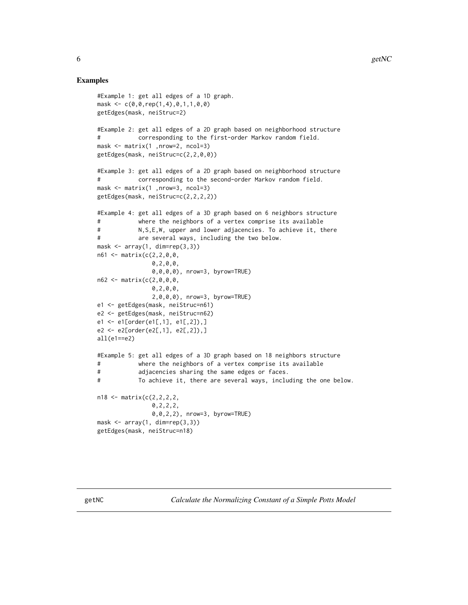#### <span id="page-5-0"></span>Examples

```
#Example 1: get all edges of a 1D graph.
mask <- c(0,0,rep(1,4),0,1,1,0,0)
getEdges(mask, neiStruc=2)
#Example 2: get all edges of a 2D graph based on neighborhood structure
# corresponding to the first-order Markov random field.
mask <- matrix(1 ,nrow=2, ncol=3)
getEdges(mask, neiStruc=c(2,2,0,0))
#Example 3: get all edges of a 2D graph based on neighborhood structure
# corresponding to the second-order Markov random field.
mask <- matrix(1 ,nrow=3, ncol=3)
getEdges(mask, neiStruc=c(2,2,2,2))
#Example 4: get all edges of a 3D graph based on 6 neighbors structure
# where the neighbors of a vertex comprise its available
# N,S,E,W, upper and lower adjacencies. To achieve it, there
# are several ways, including the two below.
mask <- array(1, dim=rep(3,3))
n61 <- matrix(c(2,2,0,0,
               0,2,0,0,
               0,0,0,0), nrow=3, byrow=TRUE)
n62 <- matrix(c(2,0,0,0,
               0,2,0,0,
               2,0,0,0), nrow=3, byrow=TRUE)
e1 <- getEdges(mask, neiStruc=n61)
e2 <- getEdges(mask, neiStruc=n62)
e1 <- e1[order(e1[,1], e1[,2]),]
e2 <- e2[order(e2[,1], e2[,2]),]
all(e1==e2)#Example 5: get all edges of a 3D graph based on 18 neighbors structure
# where the neighbors of a vertex comprise its available
# adjacencies sharing the same edges or faces.
# To achieve it, there are several ways, including the one below.
n18 <- matrix(c(2,2,2,2,
               0,2,2,2,
               0,0,2,2), nrow=3, byrow=TRUE)
mask \leq array(1, dim=rep(3,3))
getEdges(mask, neiStruc=n18)
```
getNC *Calculate the Normalizing Constant of a Simple Potts Model*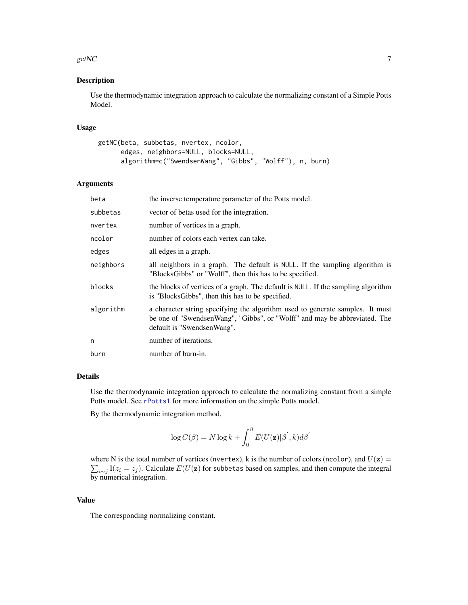#### <span id="page-6-0"></span>getNC  $\sim$  7

#### Description

Use the thermodynamic integration approach to calculate the normalizing constant of a Simple Potts Model.

#### Usage

```
getNC(beta, subbetas, nvertex, ncolor,
     edges, neighbors=NULL, blocks=NULL,
     algorithm=c("SwendsenWang", "Gibbs", "Wolff"), n, burn)
```
#### Arguments

| beta      | the inverse temperature parameter of the Potts model.                                                                                                                                    |
|-----------|------------------------------------------------------------------------------------------------------------------------------------------------------------------------------------------|
| subbetas  | vector of betas used for the integration.                                                                                                                                                |
| nvertex   | number of vertices in a graph.                                                                                                                                                           |
| ncolor    | number of colors each vertex can take.                                                                                                                                                   |
| edges     | all edges in a graph.                                                                                                                                                                    |
| neighbors | all neighbors in a graph. The default is NULL. If the sampling algorithm is<br>"BlocksGibbs" or "Wolff", then this has to be specified.                                                  |
| blocks    | the blocks of vertices of a graph. The default is NULL. If the sampling algorithm<br>is "BlocksGibbs", then this has to be specified.                                                    |
| algorithm | a character string specifying the algorithm used to generate samples. It must<br>be one of "SwendsenWang", "Gibbs", or "Wolff" and may be abbreviated. The<br>default is "SwendsenWang". |
| n         | number of iterations.                                                                                                                                                                    |
| burn      | number of burn-in.                                                                                                                                                                       |

#### Details

Use the thermodynamic integration approach to calculate the normalizing constant from a simple Potts model. See [rPotts1](#page-11-1) for more information on the simple Potts model.

By the thermodynamic integration method,

$$
\log C(\beta) = N \log k + \int_0^\beta E(U(\mathbf{z})|\beta^{'}, k) d\beta^{'}
$$

where N is the total number of vertices (nvertex), k is the number of colors (ncolor), and  $U(z) =$  $\sum_{i \sim j}$  I( $z_i = z_j$ ). Calculate  $E(U(\mathbf{z})$  for subbetas based on samples, and then compute the integral by numerical integration.

#### Value

The corresponding normalizing constant.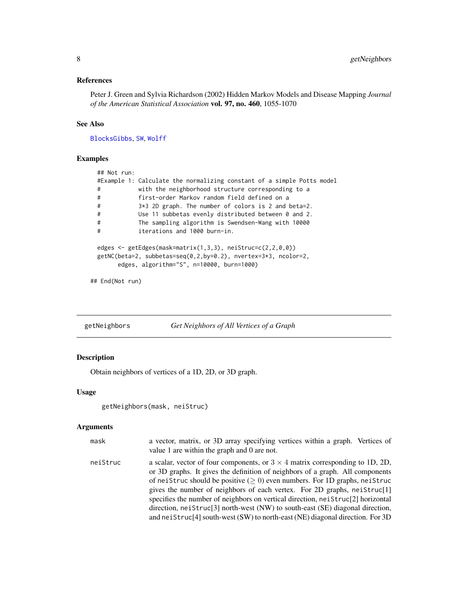#### <span id="page-7-0"></span>References

Peter J. Green and Sylvia Richardson (2002) Hidden Markov Models and Disease Mapping *Journal of the American Statistical Association* vol. 97, no. 460, 1055-1070

#### See Also

[BlocksGibbs](#page-1-1), [SW](#page-14-1), [Wolff](#page-15-1)

#### Examples

| #Example 1: Calculate the normalizing constant of a simple Potts model                                                                                                                |
|---------------------------------------------------------------------------------------------------------------------------------------------------------------------------------------|
| with the neighborhood structure corresponding to a                                                                                                                                    |
| first-order Markov random field defined on a                                                                                                                                          |
| $3*3$ 2D graph. The number of colors is 2 and beta=2.                                                                                                                                 |
| Use 11 subbetas evenly distributed between 0 and 2.                                                                                                                                   |
| The sampling algorithm is Swendsen-Wang with 10000                                                                                                                                    |
| iterations and 1000 burn-in.                                                                                                                                                          |
| edges $\leq$ getEdges(mask=matrix(1,3,3), neiStruc=c(2,2,0,0))<br>getNC(beta=2, subbetas=seq(0,2,by=0.2), nvertex=3 $\star$ 3, ncolor=2,<br>edges, algorithm="S", n=10000, burn=1000) |
|                                                                                                                                                                                       |

```
## End(Not run)
```
getNeighbors *Get Neighbors of All Vertices of a Graph*

### Description

Obtain neighbors of vertices of a 1D, 2D, or 3D graph.

#### Usage

```
getNeighbors(mask, neiStruc)
```
#### Arguments

| mask     | a vector, matrix, or 3D array specifying vertices within a graph. Vertices of<br>value 1 are within the graph and 0 are not.                                                                                                                                                                                                                                                                                                                                                                                                                                                                                   |
|----------|----------------------------------------------------------------------------------------------------------------------------------------------------------------------------------------------------------------------------------------------------------------------------------------------------------------------------------------------------------------------------------------------------------------------------------------------------------------------------------------------------------------------------------------------------------------------------------------------------------------|
| neiStruc | a scalar, vector of four components, or $3 \times 4$ matrix corresponding to 1D, 2D,<br>or 3D graphs. It gives the definition of neighbors of a graph. All components<br>of neistruc should be positive $(2 0)$ even numbers. For 1D graphs, neistruc<br>gives the number of neighbors of each vertex. For 2D graphs, neistruc <sup>[1]</sup><br>specifies the number of neighbors on vertical direction, neiStruc[2] horizontal<br>direction, neistruc <sup>[3]</sup> north-west (NW) to south-east (SE) diagonal direction,<br>and neiStruc[4] south-west (SW) to north-east (NE) diagonal direction. For 3D |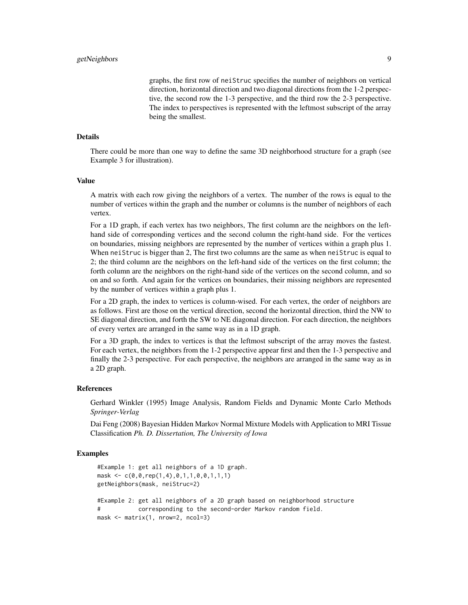graphs, the first row of neiStruc specifies the number of neighbors on vertical direction, horizontal direction and two diagonal directions from the 1-2 perspective, the second row the 1-3 perspective, and the third row the 2-3 perspective. The index to perspectives is represented with the leftmost subscript of the array being the smallest.

#### Details

There could be more than one way to define the same 3D neighborhood structure for a graph (see Example 3 for illustration).

#### Value

A matrix with each row giving the neighbors of a vertex. The number of the rows is equal to the number of vertices within the graph and the number or columns is the number of neighbors of each vertex.

For a 1D graph, if each vertex has two neighbors, The first column are the neighbors on the lefthand side of corresponding vertices and the second column the right-hand side. For the vertices on boundaries, missing neighbors are represented by the number of vertices within a graph plus 1. When neiStruc is bigger than 2, The first two columns are the same as when neiStruc is equal to 2; the third column are the neighbors on the left-hand side of the vertices on the first column; the forth column are the neighbors on the right-hand side of the vertices on the second column, and so on and so forth. And again for the vertices on boundaries, their missing neighbors are represented by the number of vertices within a graph plus 1.

For a 2D graph, the index to vertices is column-wised. For each vertex, the order of neighbors are as follows. First are those on the vertical direction, second the horizontal direction, third the NW to SE diagonal direction, and forth the SW to NE diagonal direction. For each direction, the neighbors of every vertex are arranged in the same way as in a 1D graph.

For a 3D graph, the index to vertices is that the leftmost subscript of the array moves the fastest. For each vertex, the neighbors from the 1-2 perspective appear first and then the 1-3 perspective and finally the 2-3 perspective. For each perspective, the neighbors are arranged in the same way as in a 2D graph.

#### References

Gerhard Winkler (1995) Image Analysis, Random Fields and Dynamic Monte Carlo Methods *Springer-Verlag*

Dai Feng (2008) Bayesian Hidden Markov Normal Mixture Models with Application to MRI Tissue Classification *Ph. D. Dissertation, The University of Iowa*

#### Examples

```
#Example 1: get all neighbors of a 1D graph.
mask <- c(0,0,rep(1,4),0,1,1,0,0,1,1,1)
getNeighbors(mask, neiStruc=2)
#Example 2: get all neighbors of a 2D graph based on neighborhood structure
           corresponding to the second-order Markov random field.
mask <- matrix(1, nrow=2, ncol=3)
```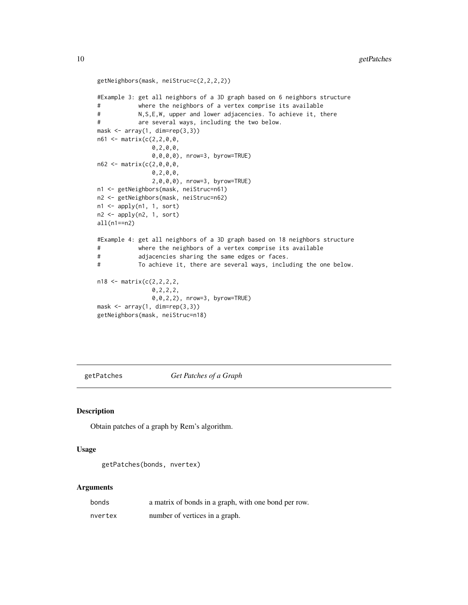```
getNeighbors(mask, neiStruc=c(2,2,2,2))
#Example 3: get all neighbors of a 3D graph based on 6 neighbors structure
# where the neighbors of a vertex comprise its available
# N,S,E,W, upper and lower adjacencies. To achieve it, there
# are several ways, including the two below.
mask \leq array(1, dim=rep(3,3))
n61 <- matrix(c(2,2,0,0,
               0,2,0,0,
               0,0,0,0), nrow=3, byrow=TRUE)
n62 <- matrix(c(2,0,0,0,
               0,2,0,0,
               2,0,0,0), nrow=3, byrow=TRUE)
n1 <- getNeighbors(mask, neiStruc=n61)
n2 <- getNeighbors(mask, neiStruc=n62)
n1 <- apply(n1, 1, sort)
n2 <- apply(n2, 1, sort)
all(n1==n2)
#Example 4: get all neighbors of a 3D graph based on 18 neighbors structure
# where the neighbors of a vertex comprise its available
# adjacencies sharing the same edges or faces.
# To achieve it, there are several ways, including the one below.
n18 <- matrix(c(2,2,2,2,
               0,2,2,2,
               0,0,2,2), nrow=3, byrow=TRUE)
mask \leftarrow array(1, dim=rep(3,3))getNeighbors(mask, neiStruc=n18)
```
getPatches *Get Patches of a Graph*

#### **Description**

Obtain patches of a graph by Rem's algorithm.

#### Usage

```
getPatches(bonds, nvertex)
```
#### Arguments

| bonds   | a matrix of bonds in a graph, with one bond per row. |
|---------|------------------------------------------------------|
| nvertex | number of vertices in a graph.                       |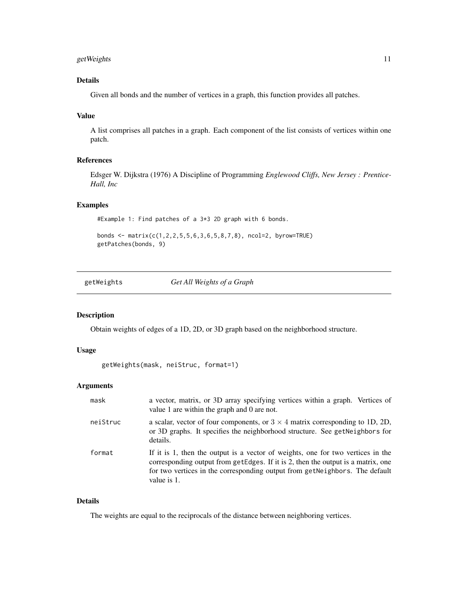#### <span id="page-10-0"></span>getWeights 11

#### Details

Given all bonds and the number of vertices in a graph, this function provides all patches.

#### Value

A list comprises all patches in a graph. Each component of the list consists of vertices within one patch.

#### References

Edsger W. Dijkstra (1976) A Discipline of Programming *Englewood Cliffs, New Jersey : Prentice-Hall, Inc*

#### Examples

#Example 1: Find patches of a 3\*3 2D graph with 6 bonds.

bonds <- matrix(c(1,2,2,5,5,6,3,6,5,8,7,8), ncol=2, byrow=TRUE) getPatches(bonds, 9)

getWeights *Get All Weights of a Graph*

#### Description

Obtain weights of edges of a 1D, 2D, or 3D graph based on the neighborhood structure.

#### Usage

```
getWeights(mask, neiStruc, format=1)
```
#### Arguments

| mask     | a vector, matrix, or 3D array specifying vertices within a graph. Vertices of<br>value 1 are within the graph and 0 are not.                                                                                                                                      |
|----------|-------------------------------------------------------------------------------------------------------------------------------------------------------------------------------------------------------------------------------------------------------------------|
| neiStruc | a scalar, vector of four components, or $3 \times 4$ matrix corresponding to 1D, 2D,<br>or 3D graphs. It specifies the neighborhood structure. See getNeighbors for<br>details.                                                                                   |
| format   | If it is 1, then the output is a vector of weights, one for two vertices in the<br>corresponding output from getEdges. If it is 2, then the output is a matrix, one<br>for two vertices in the corresponding output from getNeighbors. The default<br>value is 1. |

#### Details

The weights are equal to the reciprocals of the distance between neighboring vertices.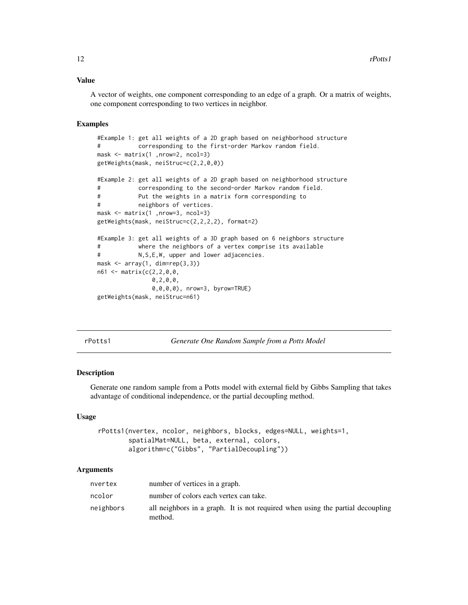#### <span id="page-11-0"></span>Value

A vector of weights, one component corresponding to an edge of a graph. Or a matrix of weights, one component corresponding to two vertices in neighbor.

#### Examples

```
#Example 1: get all weights of a 2D graph based on neighborhood structure
# corresponding to the first-order Markov random field.
mask <- matrix(1 ,nrow=2, ncol=3)
getWeights(mask, neiStruc=c(2,2,0,0))
#Example 2: get all weights of a 2D graph based on neighborhood structure
# corresponding to the second-order Markov random field.
# Put the weights in a matrix form corresponding to
# neighbors of vertices.
mask <- matrix(1 ,nrow=3, ncol=3)
getWeights(mask, neiStruc=c(2,2,2,2), format=2)
#Example 3: get all weights of a 3D graph based on 6 neighbors structure
# where the neighbors of a vertex comprise its available
# N,S,E,W, upper and lower adjacencies.
mask \leftarrow array(1, dim=rep(3,3))n61 <- matrix(c(2,2,0,0,
               0,2,0,0,
               0,0,0,0), nrow=3, byrow=TRUE)
getWeights(mask, neiStruc=n61)
```
<span id="page-11-1"></span>rPotts1 *Generate One Random Sample from a Potts Model*

#### Description

Generate one random sample from a Potts model with external field by Gibbs Sampling that takes advantage of conditional independence, or the partial decoupling method.

#### Usage

```
rPotts1(nvertex, ncolor, neighbors, blocks, edges=NULL, weights=1,
        spatialMat=NULL, beta, external, colors,
       algorithm=c("Gibbs", "PartialDecoupling"))
```
#### Arguments

| nvertex   | number of vertices in a graph.                                                            |
|-----------|-------------------------------------------------------------------------------------------|
| ncolor    | number of colors each vertex can take.                                                    |
| neighbors | all neighbors in a graph. It is not required when using the partial decoupling<br>method. |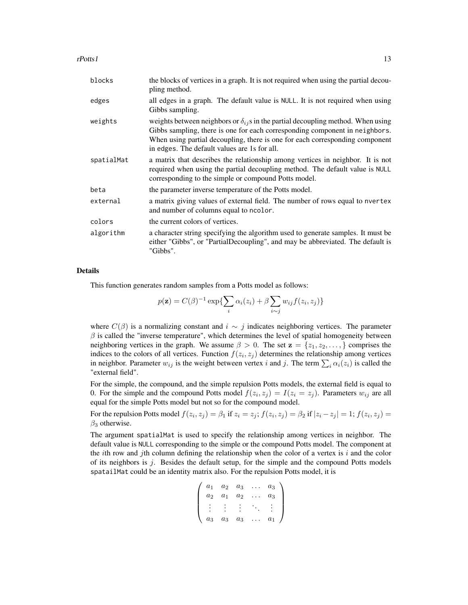rPotts1 13

| blocks     | the blocks of vertices in a graph. It is not required when using the partial decou-<br>pling method.                                                                                                                                                                                                     |
|------------|----------------------------------------------------------------------------------------------------------------------------------------------------------------------------------------------------------------------------------------------------------------------------------------------------------|
| edges      | all edges in a graph. The default value is NULL. It is not required when using<br>Gibbs sampling.                                                                                                                                                                                                        |
| weights    | weights between neighbors or $\delta_{ij}$ s in the partial decoupling method. When using<br>Gibbs sampling, there is one for each corresponding component in neighbors.<br>When using partial decoupling, there is one for each corresponding component<br>in edges. The default values are 1s for all. |
| spatialMat | a matrix that describes the relationship among vertices in neighbor. It is not<br>required when using the partial decoupling method. The default value is NULL<br>corresponding to the simple or compound Potts model.                                                                                   |
| beta       | the parameter inverse temperature of the Potts model.                                                                                                                                                                                                                                                    |
| external   | a matrix giving values of external field. The number of rows equal to nvertex<br>and number of columns equal to ncolor.                                                                                                                                                                                  |
| colors     | the current colors of vertices.                                                                                                                                                                                                                                                                          |
| algorithm  | a character string specifying the algorithm used to generate samples. It must be<br>either "Gibbs", or "PartialDecoupling", and may be abbreviated. The default is<br>"Gibbs".                                                                                                                           |

#### Details

This function generates random samples from a Potts model as follows:

$$
p(\mathbf{z}) = C(\beta)^{-1} \exp\left\{\sum_{i} \alpha_i(z_i) + \beta \sum_{i \sim j} w_{ij} f(z_i, z_j)\right\}
$$

where  $C(\beta)$  is a normalizing constant and  $i \sim j$  indicates neighboring vertices. The parameter  $\beta$  is called the "inverse temperature", which determines the level of spatial homogeneity between neighboring vertices in the graph. We assume  $\beta > 0$ . The set  $z = \{z_1, z_2, \dots\}$  comprises the indices to the colors of all vertices. Function  $f(z_i, z_j)$  determines the relationship among vertices in neighbor. Parameter  $w_{ij}$  is the weight between vertex i and j. The term  $\sum_i \alpha_i(z_i)$  is called the "external field".

For the simple, the compound, and the simple repulsion Potts models, the external field is equal to 0. For the simple and the compound Potts model  $f(z_i, z_j) = I(z_i = z_j)$ . Parameters  $w_{ij}$  are all equal for the simple Potts model but not so for the compound model.

For the repulsion Potts model  $f(z_i, z_j) = \beta_1$  if  $z_i = z_j$ ;  $f(z_i, z_j) = \beta_2$  if  $|z_i - z_j| = 1$ ;  $f(z_i, z_j) = 1$  $\beta_3$  otherwise.

The argument spatialMat is used to specify the relationship among vertices in neighbor. The default value is NULL corresponding to the simple or the compound Potts model. The component at the *i*th row and *j*th column defining the relationship when the color of a vertex is i and the color of its neighbors is  $j$ . Besides the default setup, for the simple and the compound Potts models spatailMat could be an identity matrix also. For the repulsion Potts model, it is

$$
\left(\begin{array}{cccc} a_1 & a_2 & a_3 & \dots & a_3 \\ a_2 & a_1 & a_2 & \dots & a_3 \\ \vdots & \vdots & \vdots & \ddots & \vdots \\ a_3 & a_3 & a_3 & \dots & a_1 \end{array}\right)
$$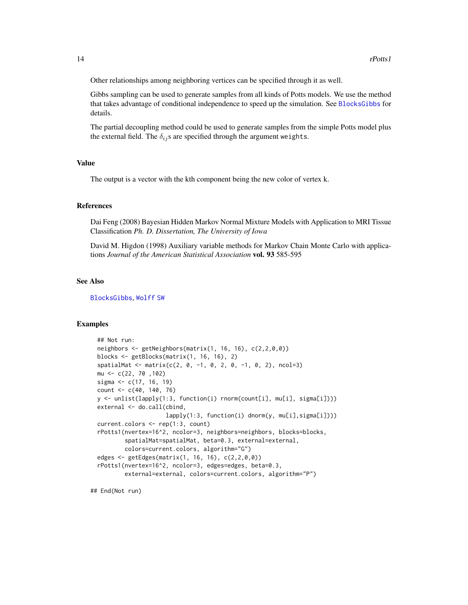<span id="page-13-0"></span>Other relationships among neighboring vertices can be specified through it as well.

Gibbs sampling can be used to generate samples from all kinds of Potts models. We use the method that takes advantage of conditional independence to speed up the simulation. See [BlocksGibbs](#page-1-1) for details.

The partial decoupling method could be used to generate samples from the simple Potts model plus the external field. The  $\delta_{ij}$ s are specified through the argument weights.

#### Value

The output is a vector with the kth component being the new color of vertex k.

#### References

Dai Feng (2008) Bayesian Hidden Markov Normal Mixture Models with Application to MRI Tissue Classification *Ph. D. Dissertation, The University of Iowa*

David M. Higdon (1998) Auxiliary variable methods for Markov Chain Monte Carlo with applications *Journal of the American Statistical Association* vol. 93 585-595

#### See Also

[BlocksGibbs](#page-1-1), [Wolff](#page-15-1) [SW](#page-14-1)

#### Examples

```
## Not run:
neighbors <- getNeighbors(matrix(1, 16, 16), c(2,2,0,0))
blocks <- getBlocks(matrix(1, 16, 16), 2)
spatialMat <- matrix(c(2, 0, -1, 0, 2, 0, -1, 0, 2), ncol=3)
mu <- c(22, 70 ,102)
sigma <- c(17, 16, 19)
count <- c(40, 140, 76)
y <- unlist(lapply(1:3, function(i) rnorm(count[i], mu[i], sigma[i])))
external <- do.call(cbind,
                    lapply(1:3, function(i) dnorm(y, mu[i],sigma[i])))
current.colors <- rep(1:3, count)
rPotts1(nvertex=16^2, ncolor=3, neighbors=neighbors, blocks=blocks,
        spatialMat=spatialMat, beta=0.3, external=external,
        colors=current.colors, algorithm="G")
edges <- getEdges(matrix(1, 16, 16), c(2,2,0,0))
rPotts1(nvertex=16^2, ncolor=3, edges=edges, beta=0.3,
        external=external, colors=current.colors, algorithm="P")
```
## End(Not run)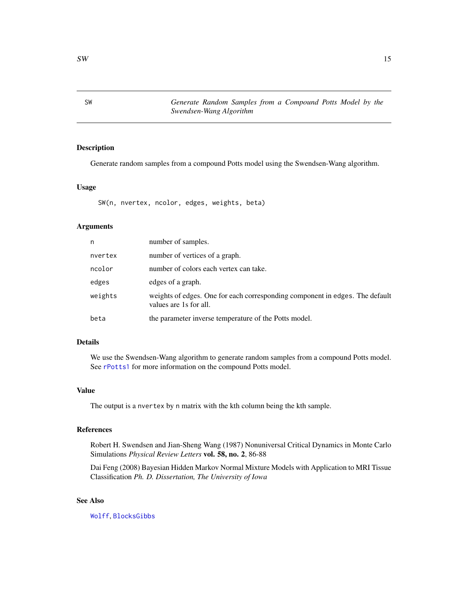<span id="page-14-1"></span><span id="page-14-0"></span>SW *Generate Random Samples from a Compound Potts Model by the Swendsen-Wang Algorithm*

#### Description

Generate random samples from a compound Potts model using the Swendsen-Wang algorithm.

#### Usage

SW(n, nvertex, ncolor, edges, weights, beta)

#### Arguments

| n       | number of samples.                                                                                     |
|---------|--------------------------------------------------------------------------------------------------------|
| nvertex | number of vertices of a graph.                                                                         |
| ncolor  | number of colors each vertex can take.                                                                 |
| edges   | edges of a graph.                                                                                      |
| weights | weights of edges. One for each corresponding component in edges. The default<br>values are 1s for all. |
| beta    | the parameter inverse temperature of the Potts model.                                                  |

#### Details

We use the Swendsen-Wang algorithm to generate random samples from a compound Potts model. See [rPotts1](#page-11-1) for more information on the compound Potts model.

#### Value

The output is a nvertex by n matrix with the kth column being the kth sample.

#### References

Robert H. Swendsen and Jian-Sheng Wang (1987) Nonuniversal Critical Dynamics in Monte Carlo Simulations *Physical Review Letters* vol. 58, no. 2, 86-88

Dai Feng (2008) Bayesian Hidden Markov Normal Mixture Models with Application to MRI Tissue Classification *Ph. D. Dissertation, The University of Iowa*

#### See Also

[Wolff](#page-15-1), [BlocksGibbs](#page-1-1)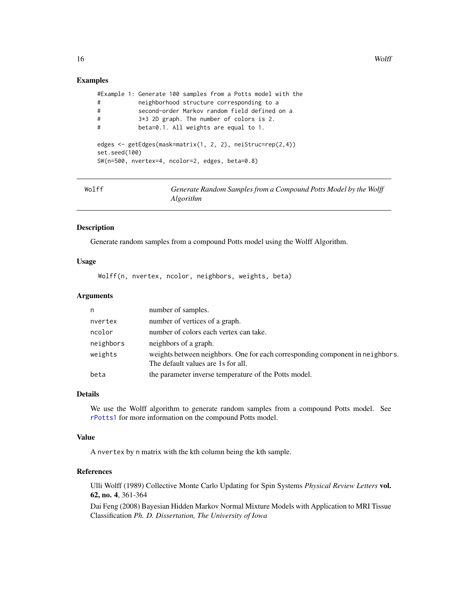#### <span id="page-15-0"></span>Examples

```
#Example 1: Generate 100 samples from a Potts model with the
# neighborhood structure corresponding to a
# second-order Markov random field defined on a
# 3*3 2D graph. The number of colors is 2.
# beta=0.1. All weights are equal to 1.
edges <- getEdges(mask=matrix(1, 2, 2), neiStruc=rep(2,4))
set.seed(100)
SW(n=500, nvertex=4, ncolor=2, edges, beta=0.8)
```
<span id="page-15-1"></span>

| Wolff | Generate Random Samples from a Compound Potts Model by the Wolff |
|-------|------------------------------------------------------------------|
|       | Algorithm                                                        |

#### Description

Generate random samples from a compound Potts model using the Wolff Algorithm.

#### Usage

Wolff(n, nvertex, ncolor, neighbors, weights, beta)

#### Arguments

| n         | number of samples.                                                                                                  |
|-----------|---------------------------------------------------------------------------------------------------------------------|
| nvertex   | number of vertices of a graph.                                                                                      |
| ncolor    | number of colors each vertex can take.                                                                              |
| neighbors | neighbors of a graph.                                                                                               |
| weights   | weights between neighbors. One for each corresponding component in neighbors.<br>The default values are 1s for all. |
| beta      | the parameter inverse temperature of the Potts model.                                                               |

#### Details

We use the Wolff algorithm to generate random samples from a compound Potts model. See [rPotts1](#page-11-1) for more information on the compound Potts model.

#### Value

A nvertex by n matrix with the kth column being the kth sample.

#### References

Ulli Wolff (1989) Collective Monte Carlo Updating for Spin Systems *Physical Review Letters* vol. 62, no. 4, 361-364

Dai Feng (2008) Bayesian Hidden Markov Normal Mixture Models with Application to MRI Tissue Classification *Ph. D. Dissertation, The University of Iowa*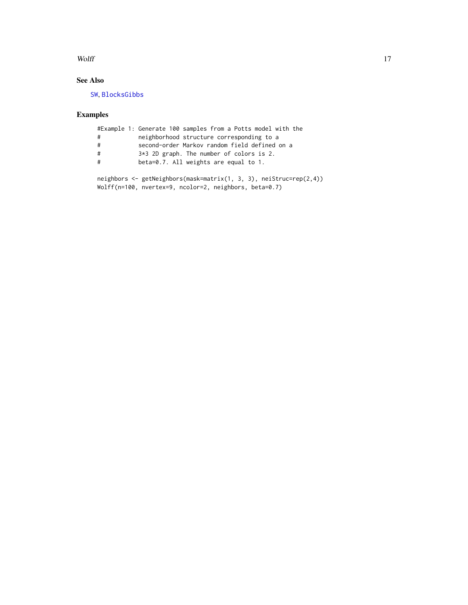#### <span id="page-16-0"></span>Wolff and the contract of the contract of the contract of the contract of the contract of the contract of the contract of the contract of the contract of the contract of the contract of the contract of the contract of the

#### See Also

[SW](#page-14-1), [BlocksGibbs](#page-1-1)

### Examples

|   | #Example 1: Generate 100 samples from a Potts model with the       |
|---|--------------------------------------------------------------------|
| # | neighborhood structure corresponding to a                          |
| # | second-order Markov random field defined on a                      |
| # | $3*3$ 2D graph. The number of colors is 2.                         |
| # | beta=0.7. All weights are equal to 1.                              |
|   |                                                                    |
|   | neighbors <- getNeighbors(mask=matrix(1, 3, 3), neiStruc=rep(2,4)) |

Wolff(n=100, nvertex=9, ncolor=2, neighbors, beta=0.7)